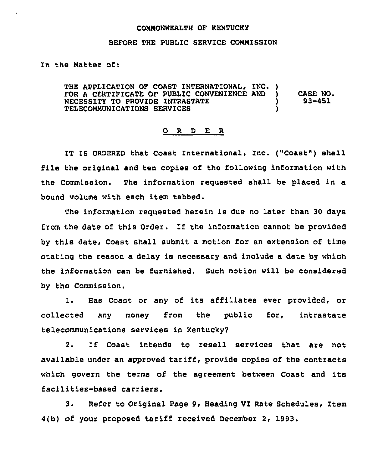## CONNONWEALTH OF KENTUCKY

## BEFORE THE PUBLIC SERVICE CONNISSION

In the Matter of:

THE APPLICATION OF COAST INTERNATIONAL, INC. ) FOR A CERTIFICATE OF PUBLIC CONVENIENCE AND ) NECESSITY TO PROVIDE INTRASTATE ) TELECOMMUNICATIONS SERVICES ) CASE NO. 93-451

## 0 R <sup>D</sup> E R

IT IS ORDERED that Coast International, Inc. ("Coast") shall file the original and ten copies of the following information with the Commission. The information requested shall be placed in a bound volume with each item tabbed.

The information requested herein is due no later than 30 days from the date of this Order. If the information cannot be provided by this date, Coast shall submit a motion for an extension of time stating the reason a delay is necessary and include a date by which the information can be furnished. Such motion will be considered by the Commission.

1. Has Coast or any of its affiliates ever provided, or collected any money from the public for, intrastat telecommunications services in Kentucky2

2. Zf Coast intends to resell services that are not available under an approved tariff, provide copies of the contracts which govern the terms of the agreement between Coast and its facilities-based carriers.

3. Refer to Original Page 9, Heading VI Rate Schedules, Item 4(b) of your proposed tariff received December 2, 1993.